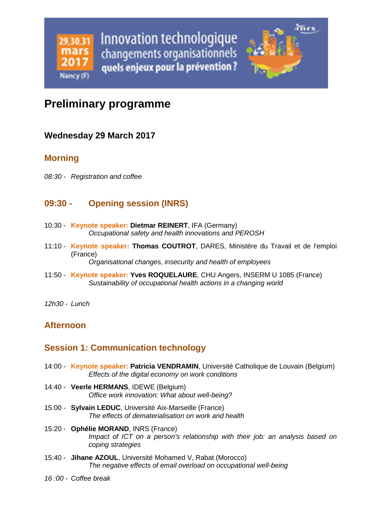

# **Preliminary programme**

### **Wednesday 29 March 2017**

### **Morning**

08:30 - Registration and coffee

# **09:30 - Opening session (INRS)**

- 10:30 **Keynote speaker: Dietmar REINERT**, IFA (Germany) Occupational safety and health innovations and PEROSH
- 11:10 **Keynote speaker: Thomas COUTROT**, DARES, Ministère du Travail et de l'emploi (France)

Organisational changes, insecurity and health of employees

11:50 - **Keynote speaker: Yves ROQUELAURE**, CHU Angers, INSERM U 1085 (France) Sustainability of occupational health actions in a changing world

12h30 - Lunch

# **Afternoon**

# **Session 1: Communication technology**

- 14:00 **Keynote speaker: Patricia VENDRAMIN**, Université Catholique de Louvain (Belgium) Effects of the digital economy on work conditions
- 14:40 **Veerle HERMANS**, IDEWE (Belgium) Office work innovation: What about well-being?
- 15:00 **Sylvain LEDUC**, Université Aix-Marseille (France) The effects of dematerialisation on work and health
- 15:20 **Ophélie MORAND**, INRS (France) Impact of ICT on a person's relationship with their job: an analysis based on coping strategies
- 15:40 **Jihane AZOUL**, Université Mohamed V, Rabat (Morocco) The negative effects of email overload on occupational well-being
- 16 :00 Coffee break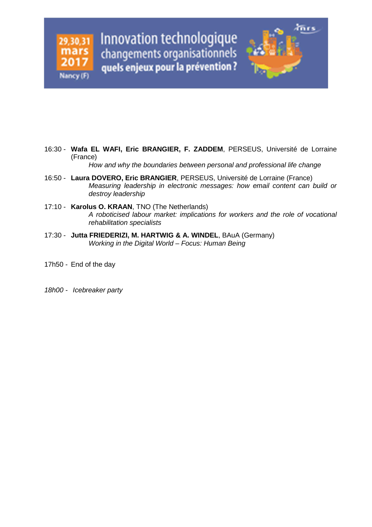

How and why the boundaries between personal and professional life change

- 16:50 **Laura DOVERO, Eric BRANGIER**, PERSEUS, Université de Lorraine (France) Measuring leadership in electronic messages: how email content can build or destroy leadership
- 17:10 **Karolus O. KRAAN**, TNO (The Netherlands) A roboticised labour market: implications for workers and the role of vocational rehabilitation specialists
- 17:30 **Jutta FRIEDERIZI, M. HARTWIG & A. WINDEL**, BAuA (Germany) Working in the Digital World – Focus: Human Being
- 17h50 End of the day
- 18h00 Icebreaker party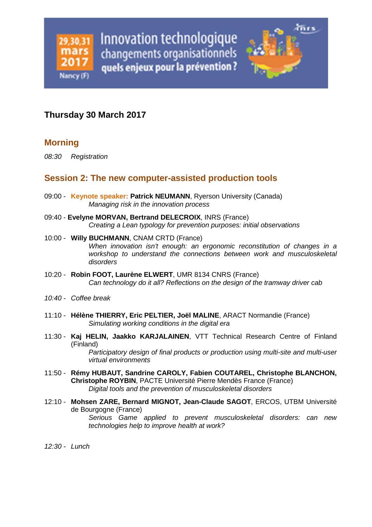

### **Thursday 30 March 2017**

### **Morning**

08:30 Registration

#### **Session 2: The new computer-assisted production tools**

- 09:00 **Keynote speaker: Patrick NEUMANN**, Ryerson University (Canada) Managing risk in the innovation process
- 09:40 **Evelyne MORVAN, Bertrand DELECROIX**, INRS (France) Creating a Lean typology for prevention purposes: initial observations
- 10:00 **Willy BUCHMANN**, CNAM CRTD (France) When innovation isn't enough: an ergonomic reconstitution of changes in a workshop to understand the connections between work and musculoskeletal disorders
- 10:20 **Robin FOOT, Laurène ELWERT**, UMR 8134 CNRS (France) Can technology do it all? Reflections on the design of the tramway driver cab
- 10:40 Coffee break
- 11:10 **Hélène THIERRY, Eric PELTIER, Joël MALINE**, ARACT Normandie (France) Simulating working conditions in the digital era
- 11:30 **Kaj HELIN, Jaakko KARJALAINEN**, VTT Technical Research Centre of Finland (Finland)

Participatory design of final products or production using multi-site and multi-user virtual environments

- 11:50 **Rémy HUBAUT, Sandrine CAROLY, Fabien COUTAREL, Christophe BLANCHON, Christophe ROYBIN**, PACTE Université Pierre Mendès France (France) Digital tools and the prevention of musculoskeletal disorders
- 12:10 **Mohsen ZARE, Bernard MIGNOT, Jean-Claude SAGOT**, ERCOS, UTBM Université de Bourgogne (France) Serious Game applied to prevent musculoskeletal disorders: can new technologies help to improve health at work?

12:30 - Lunch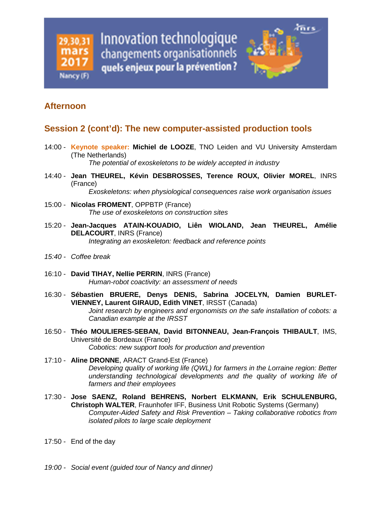

# **Afternoon**

#### **Session 2 (cont'd): The new computer-assisted production tools**

14:00 - **Keynote speaker: Michiel de LOOZE**, TNO Leiden and VU University Amsterdam (The Netherlands)

The potential of exoskeletons to be widely accepted in industry

- 14:40 **Jean THEUREL, Kévin DESBROSSES, Terence ROUX, Olivier MOREL**, INRS (France) Exoskeletons: when physiological consequences raise work organisation issues
- 15:00 **Nicolas FROMENT**, OPPBTP (France) The use of exoskeletons on construction sites
- 15:20 **Jean-Jacques ATAIN-KOUADIO, Liên WIOLAND, Jean THEUREL, Amélie DELACOURT**, INRS (France) Integrating an exoskeleton: feedback and reference points
- 15:40 Coffee break
- 16:10 **David TIHAY, Nellie PERRIN**, INRS (France) Human-robot coactivity: an assessment of needs
- 16:30 **Sébastien BRUERE, Denys DENIS, Sabrina JOCELYN, Damien BURLET-VIENNEY, Laurent GIRAUD, Edith VINET**, IRSST (Canada) Joint research by engineers and ergonomists on the safe installation of cobots: a Canadian example at the IRSST
- 16:50 **Théo MOULIERES-SEBAN, David BITONNEAU, Jean-François THIBAULT**, IMS, Université de Bordeaux (France) Cobotics: new support tools for production and prevention
- 17:10 **Aline DRONNE**, ARACT Grand-Est (France) Developing quality of working life (QWL) for farmers in the Lorraine region: Better understanding technological developments and the quality of working life of farmers and their employees
- 17:30 **Jose SAENZ, Roland BEHRENS, Norbert ELKMANN, Erik SCHULENBURG, Christoph WALTER**, Fraunhofer IFF, Business Unit Robotic Systems (Germany) Computer-Aided Safety and Risk Prevention – Taking collaborative robotics from isolated pilots to large scale deployment
- 17:50 End of the day
- 19:00 Social event (guided tour of Nancy and dinner)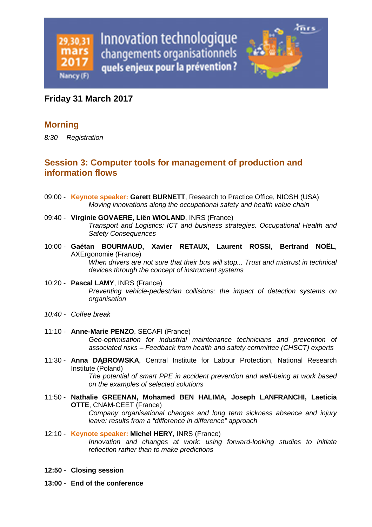

#### **Friday 31 March 2017**

#### **Morning**

8:30 Registration

### **Session 3: Computer tools for management of production and information flows**

- 09:00 **Keynote speaker: Garett BURNETT**, Research to Practice Office, NIOSH (USA) Moving innovations along the occupational safety and health value chain
- 09:40 **Virginie GOVAERE, Liên WIOLAND**, INRS (France) Transport and Logistics: ICT and business strategies. Occupational Health and Safety Consequences
- 10:00 **Gaétan BOURMAUD, Xavier RETAUX, Laurent ROSSI, Bertrand NOËL**, AXErgonomie (France) When drivers are not sure that their bus will stop... Trust and mistrust in technical devices through the concept of instrument systems
- 10:20 **Pascal LAMY**, INRS (France) Preventing vehicle-pedestrian collisions: the impact of detection systems on organisation
- 10:40 Coffee break
- 11:10 **Anne-Marie PENZO**, SECAFI (France) Geo-optimisation for industrial maintenance technicians and prevention of associated risks – Feedback from health and safety committee (CHSCT) experts
- 11:30 **Anna DĄBROWSKA**, Central Institute for Labour Protection, National Research Institute (Poland) The potential of smart PPE in accident prevention and well-being at work based

on the examples of selected solutions

11:50 - **Nathalie GREENAN, Mohamed BEN HALIMA, Joseph LANFRANCHI, Laeticia OTTE**, CNAM-CEET (France) Company organisational changes and long term sickness absence and injury

leave: results from a "difference in difference" approach

- 12:10 **Keynote speaker: Michel HERY**, INRS (France) Innovation and changes at work: using forward-looking studies to initiate reflection rather than to make predictions
- **12:50 Closing session**
- **13:00 End of the conference**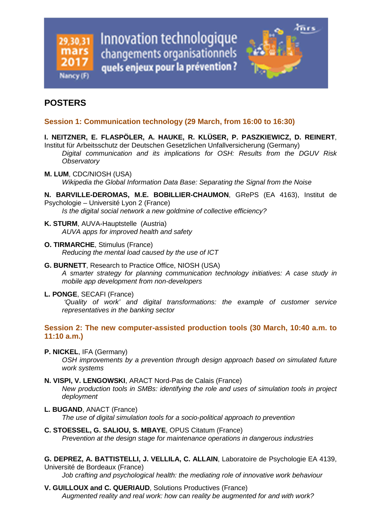

# **POSTERS**

#### **Session 1: Communication technology (29 March, from 16:00 to 16:30)**

#### **I. NEITZNER, E. FLASPÖLER, A. HAUKE, R. KLÜSER, P. PASZKIEWICZ, D. REINERT**,

Institut für Arbeitsschutz der Deutschen Gesetzlichen Unfallversicherung (Germany) Digital communication and its implications for OSH: Results from the DGUV Risk **Observatory** 

**M. LUM**, CDC/NIOSH (USA) Wikipedia the Global Information Data Base: Separating the Signal from the Noise

**N. BARVILLE-DEROMAS, M.E. BOBILLIER-CHAUMON**, GRePS (EA 4163), Institut de Psychologie – Université Lyon 2 (France) Is the digital social network a new goldmine of collective efficiency?

**K. STURM**, AUVA-Hauptstelle (Austria)

AUVA apps for improved health and safety

- **O. TIRMARCHE**, Stimulus (France) Reducing the mental load caused by the use of ICT
- **G. BURNETT**, Research to Practice Office, NIOSH (USA) A smarter strategy for planning communication technology initiatives: A case study in mobile app development from non-developers
- **L. PONGE**, SECAFI (France)

 'Quality of work' and digital transformations: the example of customer service representatives in the banking sector

#### **Session 2: The new computer-assisted production tools (30 March, 10:40 a.m. to 11:10 a.m.)**

**P. NICKEL**, IFA (Germany)

OSH improvements by a prevention through design approach based on simulated future work systems

**N. VISPI, V. LENGOWSKI**, ARACT Nord-Pas de Calais (France) New production tools in SMBs: identifying the role and uses of simulation tools in project deployment

- **L. BUGAND**, ANACT (France) The use of digital simulation tools for a socio-political approach to prevention
- **C. STOESSEL, G. SALIOU, S. MBAYE**, OPUS Citatum (France) Prevention at the design stage for maintenance operations in dangerous industries
- **G. DEPREZ, A. BATTISTELLI, J. VELLILA, C. ALLAIN**, Laboratoire de Psychologie EA 4139, Université de Bordeaux (France)

Job crafting and psychological health: the mediating role of innovative work behaviour

**V. GUILLOUX and C. QUERIAUD**, Solutions Productives (France) Augmented reality and real work: how can reality be augmented for and with work?